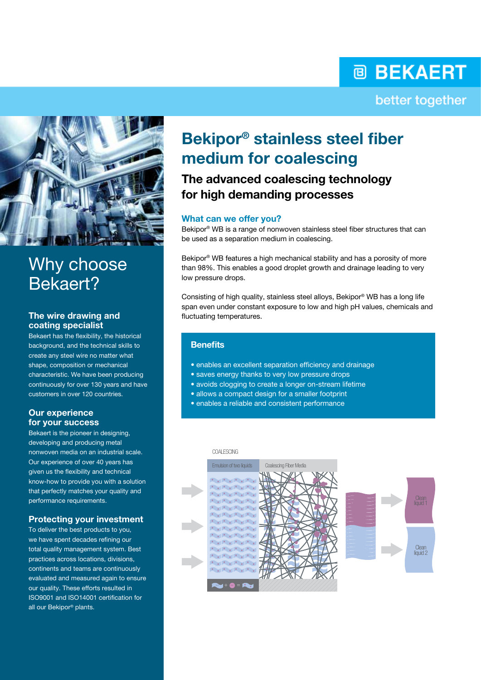**@ BEKAERT** better together



# Why choose Bekaert?

### The wire drawing and coating specialist

Bekaert has the flexibility, the historical background, and the technical skills to create any steel wire no matter what shape, composition or mechanical characteristic. We have been producing continuously for over 130 years and have customers in over 120 countries.

#### Our experience for your success

Bekaert is the pioneer in designing, developing and producing metal nonwoven media on an industrial scale. Our experience of over 40 years has given us the flexibility and technical know-how to provide you with a solution that perfectly matches your quality and performance requirements.

### Protecting your investment

To deliver the best products to you, we have spent decades refining our total quality management system. Best practices across locations, divisions, continents and teams are continuously evaluated and measured again to ensure our quality. These efforts resulted in ISO9001 and ISO14001 certification for all our Bekipor® plants.

## Bekipor® stainless steel fiber medium for coalescing

## The advanced coalescing technology for high demanding processes

#### What can we offer you?

Bekipor® WB is a range of nonwoven stainless steel fiber structures that can be used as a separation medium in coalescing.

Bekipor® WB features a high mechanical stability and has a porosity of more than 98%. This enables a good droplet growth and drainage leading to very low pressure drops.

Consisting of high quality, stainless steel alloys, Bekipor® WB has a long life span even under constant exposure to low and high pH values, chemicals and fluctuating temperatures.

### **Benefits**

- enables an excellent separation efficiency and drainage
- saves energy thanks to very low pressure drops
- avoids clogging to create a longer on-stream lifetime
- allows a compact design for a smaller footprint
- enables a reliable and consistent performance

#### COALESCING